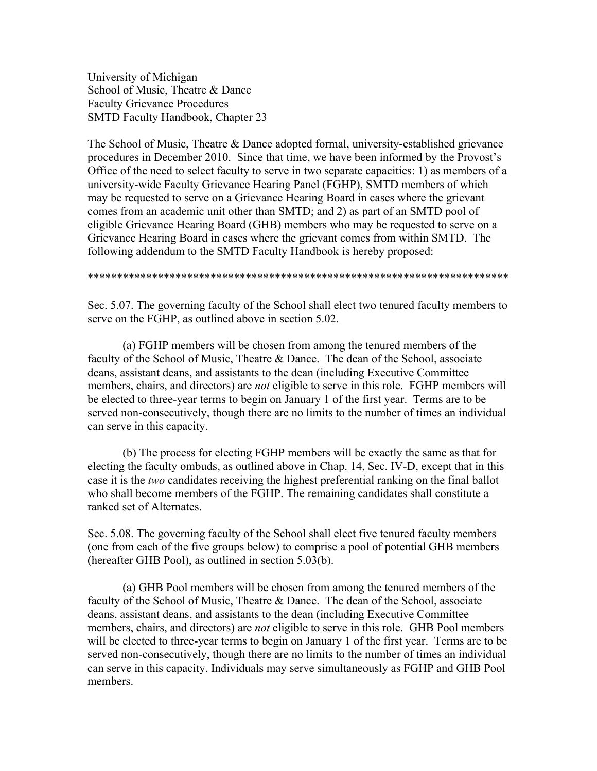University of Michigan School of Music, Theatre & Dance Faculty Grievance Procedures SMTD Faculty Handbook, Chapter 23

The School of Music, Theatre & Dance adopted formal, university-established grievance procedures in December 2010. Since that time, we have been informed by the Provost's Office of the need to select faculty to serve in two separate capacities: 1) as members of a university-wide Faculty Grievance Hearing Panel (FGHP), SMTD members of which may be requested to serve on a Grievance Hearing Board in cases where the grievant comes from an academic unit other than SMTD; and 2) as part of an SMTD pool of eligible Grievance Hearing Board (GHB) members who may be requested to serve on a Grievance Hearing Board in cases where the grievant comes from within SMTD. The following addendum to the SMTD Faculty Handbook is hereby proposed:

\*\*\*\*\*\*\*\*\*\*\*\*\*\*\*\*\*\*\*\*\*\*\*\*\*\*\*\*\*\*\*\*\*\*\*\*\*\*\*\*\*\*\*\*\*\*\*\*\*\*\*\*\*\*\*\*\*\*\*\*\*\*\*\*\*\*\*\*\*\*\*\*

Sec. 5.07. The governing faculty of the School shall elect two tenured faculty members to serve on the FGHP, as outlined above in section 5.02.

(a) FGHP members will be chosen from among the tenured members of the faculty of the School of Music, Theatre & Dance. The dean of the School, associate deans, assistant deans, and assistants to the dean (including Executive Committee members, chairs, and directors) are *not* eligible to serve in this role. FGHP members will be elected to three-year terms to begin on January 1 of the first year. Terms are to be served non-consecutively, though there are no limits to the number of times an individual can serve in this capacity.

(b) The process for electing FGHP members will be exactly the same as that for electing the faculty ombuds, as outlined above in Chap. 14, Sec. IV-D, except that in this case it is the *two* candidates receiving the highest preferential ranking on the final ballot who shall become members of the FGHP. The remaining candidates shall constitute a ranked set of Alternates.

Sec. 5.08. The governing faculty of the School shall elect five tenured faculty members (one from each of the five groups below) to comprise a pool of potential GHB members (hereafter GHB Pool), as outlined in section 5.03(b).

(a) GHB Pool members will be chosen from among the tenured members of the faculty of the School of Music, Theatre & Dance. The dean of the School, associate deans, assistant deans, and assistants to the dean (including Executive Committee members, chairs, and directors) are *not* eligible to serve in this role. GHB Pool members will be elected to three-year terms to begin on January 1 of the first year. Terms are to be served non-consecutively, though there are no limits to the number of times an individual can serve in this capacity. Individuals may serve simultaneously as FGHP and GHB Pool members.